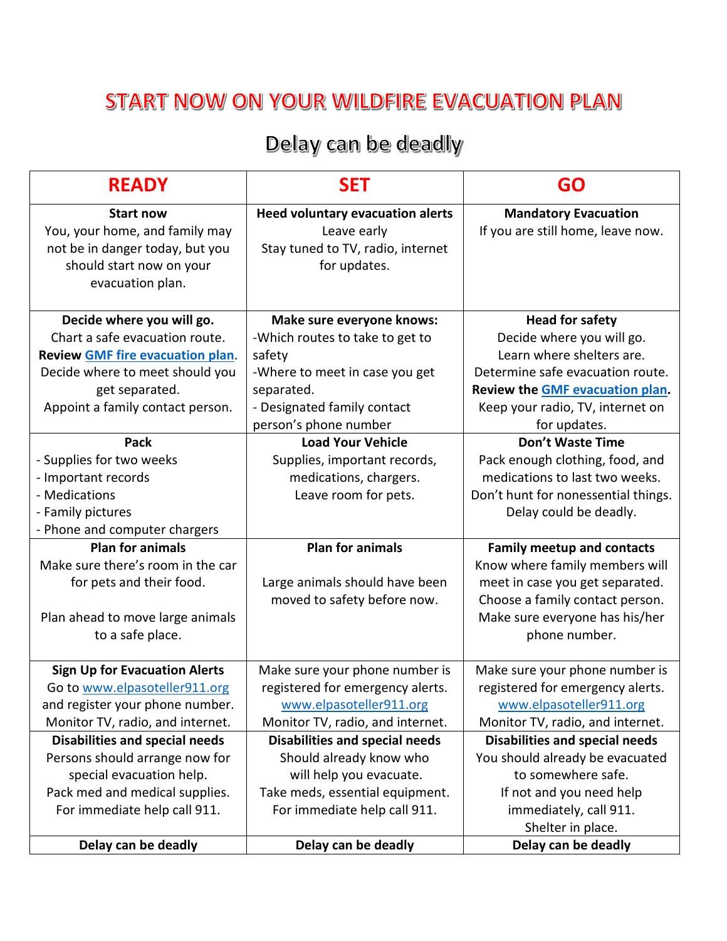## START NOW ON YOUR WILDFIRE EVACUATION PLAN

## Delay can be deadly

| <b>READY</b>                            | <b>SET</b>                              | <b>GO</b>                             |
|-----------------------------------------|-----------------------------------------|---------------------------------------|
| <b>Start now</b>                        | <b>Heed voluntary evacuation alerts</b> | <b>Mandatory Evacuation</b>           |
| You, your home, and family may          | Leave early                             | If you are still home, leave now.     |
| not be in danger today, but you         | Stay tuned to TV, radio, internet       |                                       |
| should start now on your                | for updates.                            |                                       |
| evacuation plan.                        |                                         |                                       |
| Decide where you will go.               | Make sure everyone knows:               | <b>Head for safety</b>                |
| Chart a safe evacuation route.          | -Which routes to take to get to         | Decide where you will go.             |
| <b>Review GMF fire evacuation plan.</b> | safety                                  | Learn where shelters are.             |
| Decide where to meet should you         | -Where to meet in case you get          | Determine safe evacuation route.      |
| get separated.                          | separated.                              | Review the GMF evacuation plan.       |
| Appoint a family contact person.        | - Designated family contact             | Keep your radio, TV, internet on      |
|                                         | person's phone number                   | for updates.                          |
| <b>Pack</b>                             | <b>Load Your Vehicle</b>                | <b>Don't Waste Time</b>               |
| - Supplies for two weeks                | Supplies, important records,            | Pack enough clothing, food, and       |
| - Important records                     | medications, chargers.                  | medications to last two weeks.        |
| - Medications                           | Leave room for pets.                    | Don't hunt for nonessential things.   |
| - Family pictures                       |                                         | Delay could be deadly.                |
| - Phone and computer chargers           |                                         |                                       |
| <b>Plan for animals</b>                 | <b>Plan for animals</b>                 | <b>Family meetup and contacts</b>     |
| Make sure there's room in the car       |                                         | Know where family members will        |
| for pets and their food.                | Large animals should have been          | meet in case you get separated.       |
|                                         | moved to safety before now.             | Choose a family contact person.       |
| Plan ahead to move large animals        |                                         | Make sure everyone has his/her        |
| to a safe place.                        |                                         | phone number.                         |
| <b>Sign Up for Evacuation Alerts</b>    | Make sure your phone number is          | Make sure your phone number is        |
| Go to www.elpasoteller911.org           | registered for emergency alerts.        | registered for emergency alerts.      |
| and register your phone number.         | www.elpasoteller911.org                 | www.elpasoteller911.org               |
| Monitor TV, radio, and internet.        | Monitor TV, radio, and internet.        | Monitor TV, radio, and internet.      |
| <b>Disabilities and special needs</b>   | <b>Disabilities and special needs</b>   | <b>Disabilities and special needs</b> |
| Persons should arrange now for          | Should already know who                 | You should already be evacuated       |
| special evacuation help.                | will help you evacuate.                 | to somewhere safe.                    |
| Pack med and medical supplies.          | Take meds, essential equipment.         | If not and you need help              |
| For immediate help call 911.            | For immediate help call 911.            | immediately, call 911.                |
|                                         |                                         | Shelter in place.                     |
| Delay can be deadly                     | Delay can be deadly                     | Delay can be deadly                   |